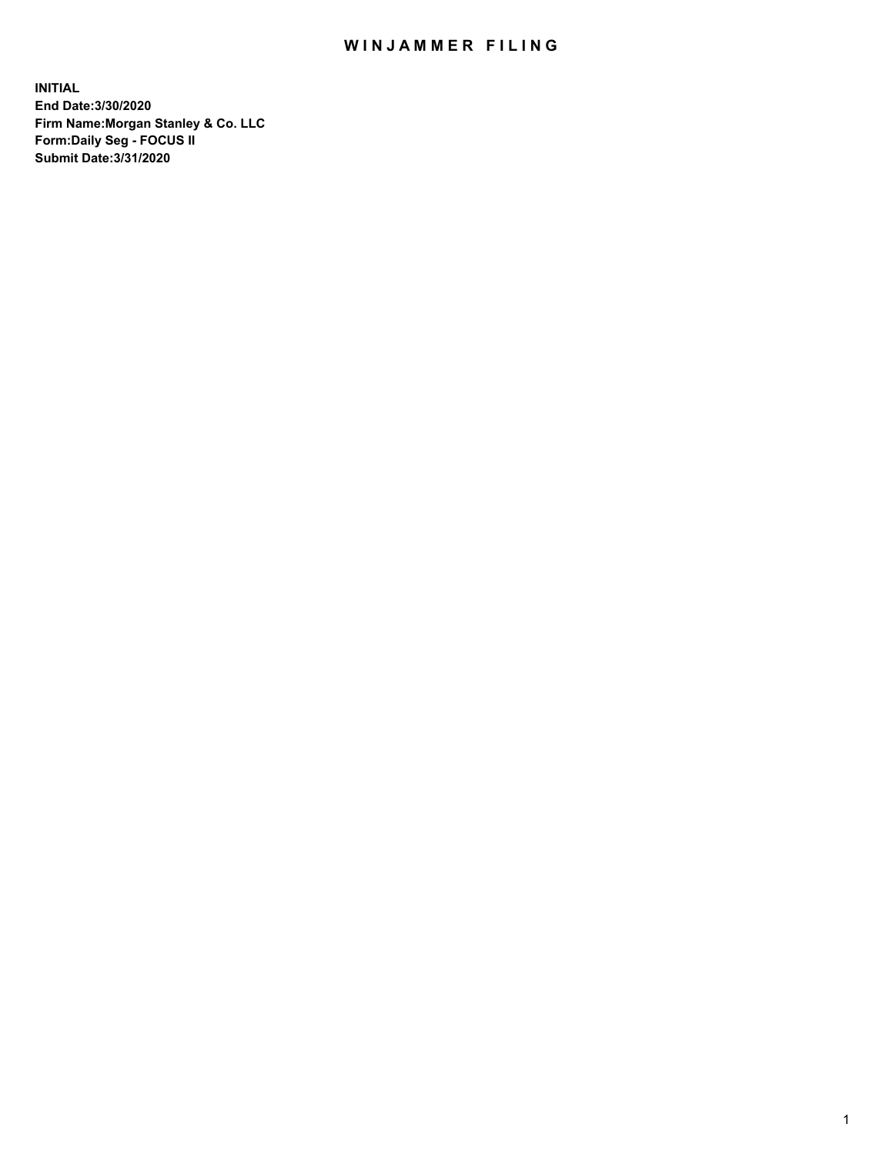## WIN JAMMER FILING

**INITIAL End Date:3/30/2020 Firm Name:Morgan Stanley & Co. LLC Form:Daily Seg - FOCUS II Submit Date:3/31/2020**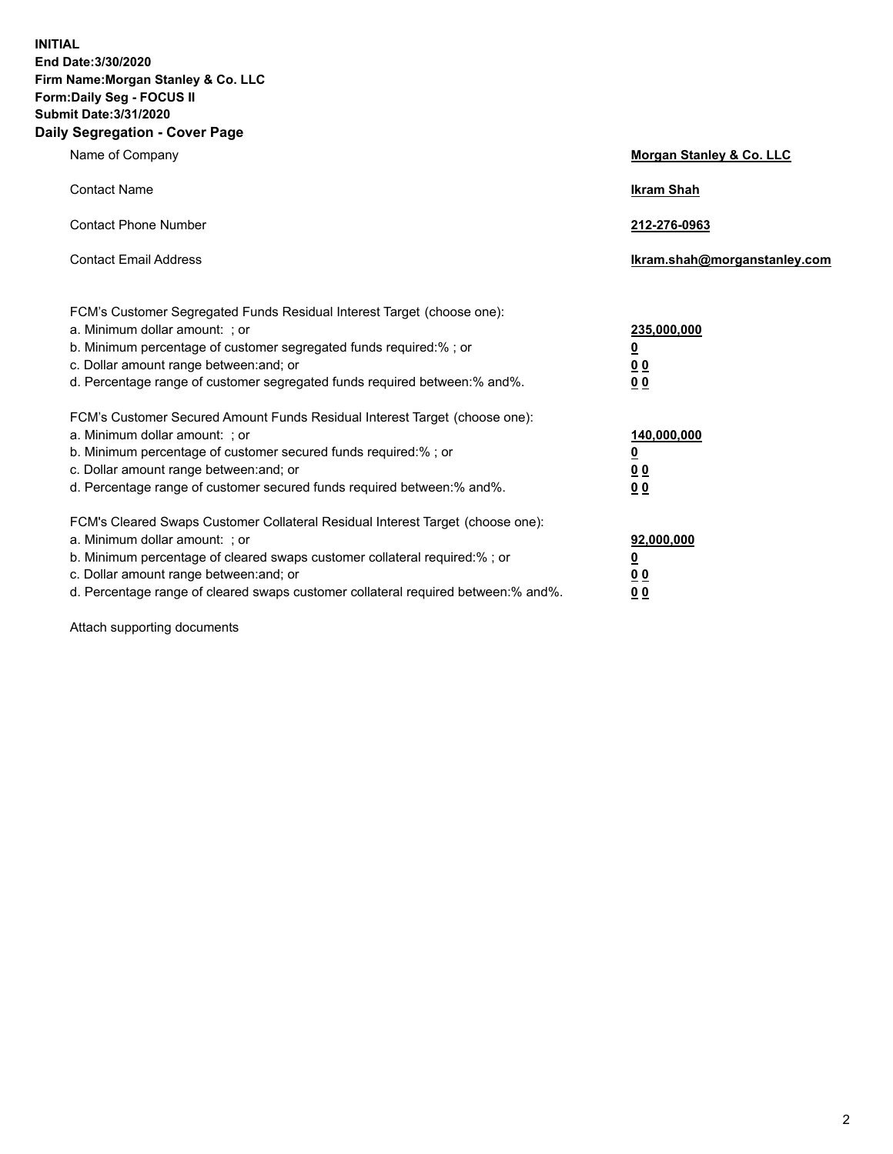**INITIAL End Date:3/30/2020 Firm Name:Morgan Stanley & Co. LLC Form:Daily Seg - FOCUS II Submit Date:3/31/2020 Daily Segregation - Cover Page**

| Name of Company                                                                                                                                                                                                                                                                                                                | <b>Morgan Stanley &amp; Co. LLC</b>                    |
|--------------------------------------------------------------------------------------------------------------------------------------------------------------------------------------------------------------------------------------------------------------------------------------------------------------------------------|--------------------------------------------------------|
| <b>Contact Name</b>                                                                                                                                                                                                                                                                                                            | <b>Ikram Shah</b>                                      |
| <b>Contact Phone Number</b>                                                                                                                                                                                                                                                                                                    | 212-276-0963                                           |
| <b>Contact Email Address</b>                                                                                                                                                                                                                                                                                                   | Ikram.shah@morganstanley.com                           |
| FCM's Customer Segregated Funds Residual Interest Target (choose one):<br>a. Minimum dollar amount: : or<br>b. Minimum percentage of customer segregated funds required:%; or<br>c. Dollar amount range between: and; or<br>d. Percentage range of customer segregated funds required between:% and%.                          | 235,000,000<br><u>0</u><br><u>00</u><br><u>00</u>      |
| FCM's Customer Secured Amount Funds Residual Interest Target (choose one):<br>a. Minimum dollar amount: ; or<br>b. Minimum percentage of customer secured funds required:%; or<br>c. Dollar amount range between: and; or<br>d. Percentage range of customer secured funds required between:% and%.                            | 140,000,000<br><u>0</u><br><u>00</u><br>0 <sub>0</sub> |
| FCM's Cleared Swaps Customer Collateral Residual Interest Target (choose one):<br>a. Minimum dollar amount: ; or<br>b. Minimum percentage of cleared swaps customer collateral required:% ; or<br>c. Dollar amount range between: and; or<br>d. Percentage range of cleared swaps customer collateral required between:% and%. | 92,000,000<br><u>0</u><br><u>00</u><br>00              |

Attach supporting documents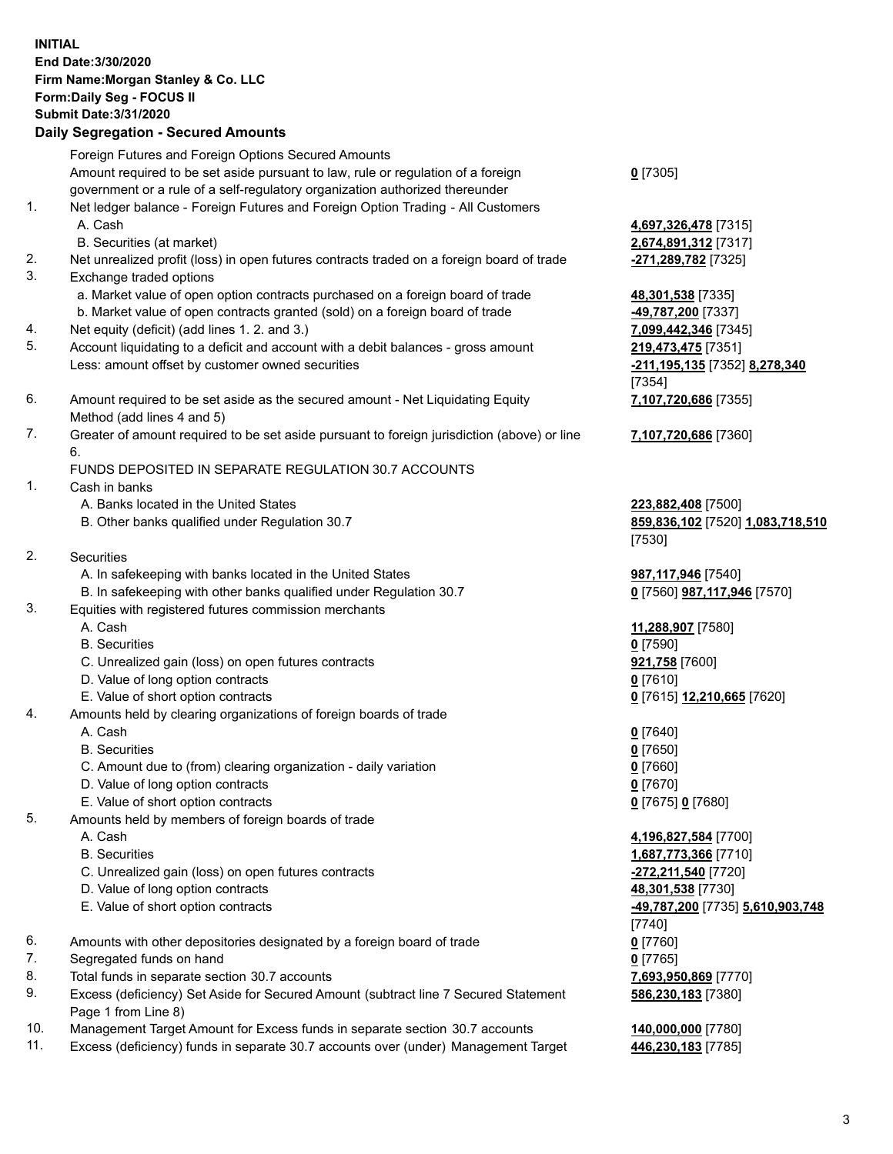## **INITIAL End Date:3/30/2020 Firm Name:Morgan Stanley & Co. LLC Form:Daily Seg - FOCUS II Submit Date:3/31/2020 Daily Segregation - Secured Amounts** Foreign Futures and Foreign Options Secured Amounts Amount required to be set aside pursuant to law, rule or regulation of a foreign government or a rule of a self-regulatory organization authorized thereunder **0** [7305] 1. Net ledger balance - Foreign Futures and Foreign Option Trading - All Customers A. Cash **4,697,326,478** [7315] B. Securities (at market) **2,674,891,312** [7317] 2. Net unrealized profit (loss) in open futures contracts traded on a foreign board of trade **-271,289,782** [7325] 3. Exchange traded options a. Market value of open option contracts purchased on a foreign board of trade **48,301,538** [7335] b. Market value of open contracts granted (sold) on a foreign board of trade **-49,787,200** [7337] 4. Net equity (deficit) (add lines 1. 2. and 3.) **7,099,442,346** [7345] 5. Account liquidating to a deficit and account with a debit balances - gross amount **219,473,475** [7351] Less: amount offset by customer owned securities **and the securities of the securities -211,195,135** [7352] **8,278,340** [7354] 6. Amount required to be set aside as the secured amount - Net Liquidating Equity Method (add lines 4 and 5) **7,107,720,686** [7355] 7. Greater of amount required to be set aside pursuant to foreign jurisdiction (above) or line 6. **7,107,720,686** [7360] FUNDS DEPOSITED IN SEPARATE REGULATION 30.7 ACCOUNTS 1. Cash in banks A. Banks located in the United States **223,882,408** [7500] B. Other banks qualified under Regulation 30.7 **859,836,102** [7520] **1,083,718,510** [7530] 2. Securities A. In safekeeping with banks located in the United States **1987,117,946** [7540] B. In safekeeping with other banks qualified under Regulation 30.7 **0** [7560] **987,117,946** [7570] 3. Equities with registered futures commission merchants A. Cash **11,288,907** [7580] B. Securities **0** [7590] C. Unrealized gain (loss) on open futures contracts **921,758** [7600] D. Value of long option contracts **0** [7610] E. Value of short option contracts **0** [7615] **12,210,665** [7620] 4. Amounts held by clearing organizations of foreign boards of trade A. Cash **0** [7640] B. Securities **0** [7650] C. Amount due to (from) clearing organization - daily variation **0** [7660] D. Value of long option contracts **0** [7670] E. Value of short option contracts **0** [7675] **0** [7680] 5. Amounts held by members of foreign boards of trade A. Cash **4,196,827,584** [7700] B. Securities **1,687,773,366** [7710] C. Unrealized gain (loss) on open futures contracts **-272,211,540** [7720] D. Value of long option contracts **48,301,538** [7730] E. Value of short option contracts **-49,787,200** [7735] **5,610,903,748** [7740] 6. Amounts with other depositories designated by a foreign board of trade **0** [7760] 7. Segregated funds on hand **0** [7765] 8. Total funds in separate section 30.7 accounts **7,693,950,869** [7770] 9. Excess (deficiency) Set Aside for Secured Amount (subtract line 7 Secured Statement Page 1 from Line 8) **586,230,183** [7380]

- 10. Management Target Amount for Excess funds in separate section 30.7 accounts **140,000,000** [7780]
- 11. Excess (deficiency) funds in separate 30.7 accounts over (under) Management Target **446,230,183** [7785]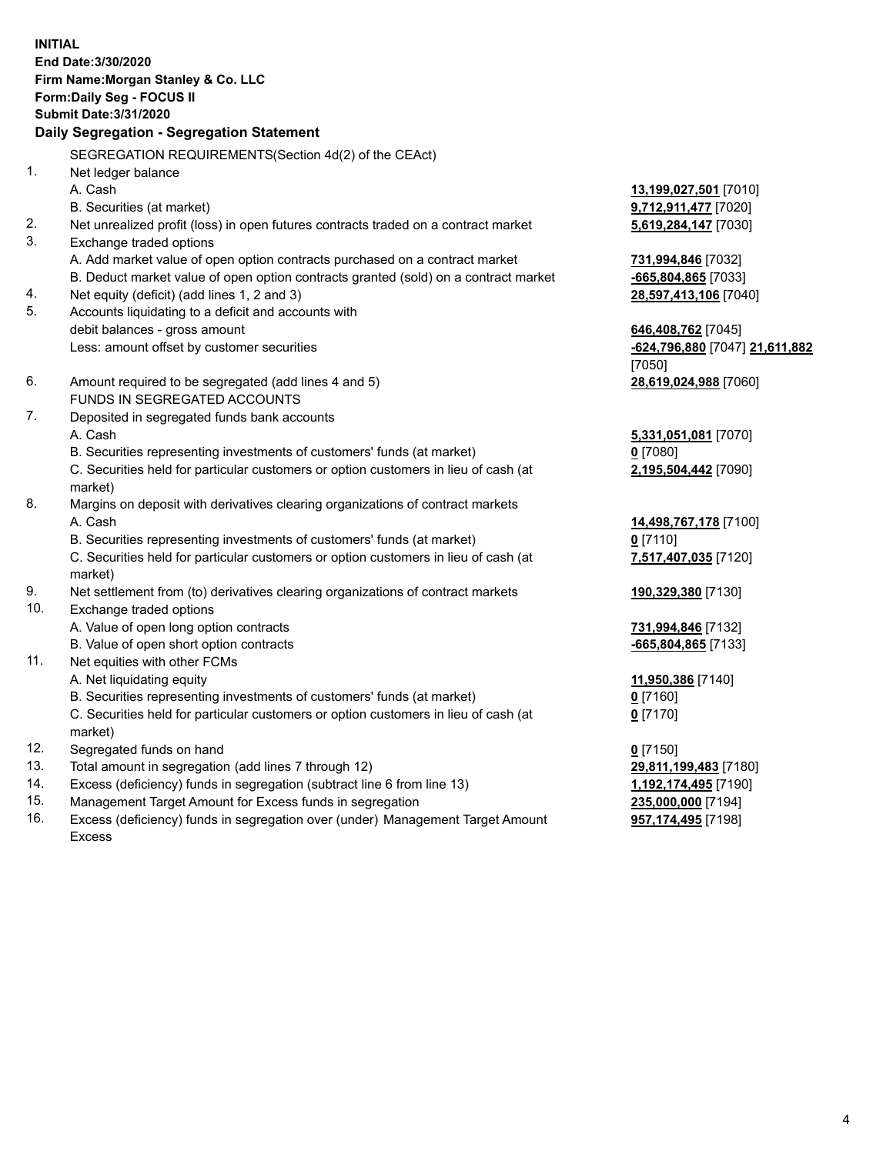**INITIAL End Date:3/30/2020 Firm Name:Morgan Stanley & Co. LLC Form:Daily Seg - FOCUS II Submit Date:3/31/2020 Daily Segregation - Segregation Statement** SEGREGATION REQUIREMENTS(Section 4d(2) of the CEAct) 1. Net ledger balance A. Cash **13,199,027,501** [7010] B. Securities (at market) **9,712,911,477** [7020] 2. Net unrealized profit (loss) in open futures contracts traded on a contract market **5,619,284,147** [7030] 3. Exchange traded options A. Add market value of open option contracts purchased on a contract market **731,994,846** [7032] B. Deduct market value of open option contracts granted (sold) on a contract market **-665,804,865** [7033] 4. Net equity (deficit) (add lines 1, 2 and 3) **28,597,413,106** [7040] 5. Accounts liquidating to a deficit and accounts with debit balances - gross amount **646,408,762** [7045] Less: amount offset by customer securities **-624,796,880** [7047] **21,611,882** [7050] 6. Amount required to be segregated (add lines 4 and 5) **28,619,024,988** [7060] FUNDS IN SEGREGATED ACCOUNTS 7. Deposited in segregated funds bank accounts A. Cash **5,331,051,081** [7070] B. Securities representing investments of customers' funds (at market) **0** [7080] C. Securities held for particular customers or option customers in lieu of cash (at market) **2,195,504,442** [7090] 8. Margins on deposit with derivatives clearing organizations of contract markets A. Cash **14,498,767,178** [7100] B. Securities representing investments of customers' funds (at market) **0** [7110] C. Securities held for particular customers or option customers in lieu of cash (at market) **7,517,407,035** [7120] 9. Net settlement from (to) derivatives clearing organizations of contract markets **190,329,380** [7130] 10. Exchange traded options A. Value of open long option contracts **731,994,846** [7132] B. Value of open short option contracts **-665,804,865** [7133] 11. Net equities with other FCMs A. Net liquidating equity **11,950,386** [7140] B. Securities representing investments of customers' funds (at market) **0** [7160] C. Securities held for particular customers or option customers in lieu of cash (at market) **0** [7170] 12. Segregated funds on hand **0** [7150] 13. Total amount in segregation (add lines 7 through 12) **29,811,199,483** [7180] 14. Excess (deficiency) funds in segregation (subtract line 6 from line 13) **1,192,174,495** [7190] 15. Management Target Amount for Excess funds in segregation **235,000,000** [7194]

16. Excess (deficiency) funds in segregation over (under) Management Target Amount Excess

**957,174,495** [7198]